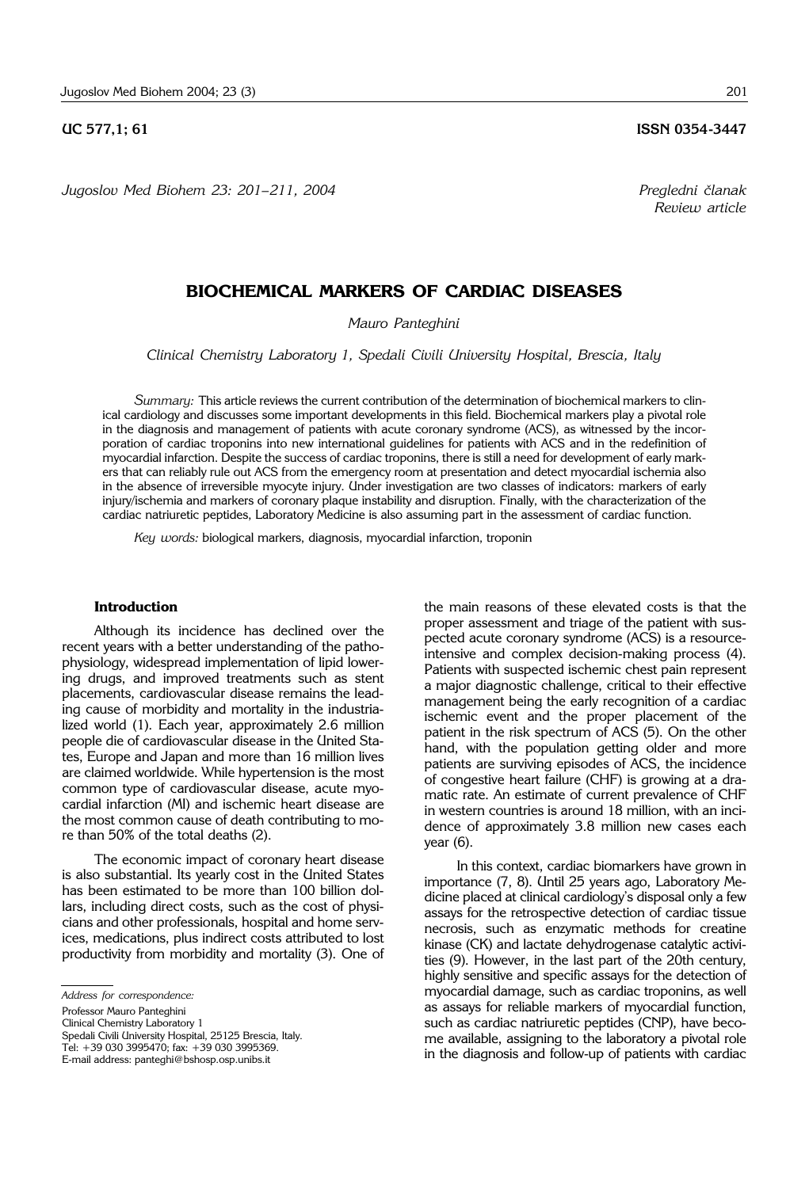*Jugoslov Med Biohem 23: 201– 211, 2004 Pregledni ~lanak*

**UC 577,1; 61 ISSN 0354-3447** 

*Review article*

## **BIOCHEMICAL MARKERS OF CARDIAC DISEASES**

*Mauro Panteghini*

*Clinical Chemistry Laboratory 1, Spedali Civili University Hospital, Brescia, Italy*

*Summary:* This article reviews the current contribution of the determination of biochemical markers to clinical cardiology and discusses some important developments in this field. Biochemical markers play a pivotal role in the diagnosis and management of patients with acute coronary syndrome (ACS), as witnessed by the incorporation of cardiac troponins into new international guidelines for patients with ACS and in the redefinition of myocardial infarction. Despite the success of cardiac troponins, there is still a need for development of early markers that can reliably rule out ACS from the emergency room at presentation and detect myocardial ischemia also in the absence of irreversible myocyte injury. Under investigation are two classes of indicators: markers of early injury/ischemia and markers of coronary plaque instability and disruption. Finally, with the characterization of the cardiac natriuretic peptides, Laboratory Medicine is also assuming part in the assessment of cardiac function.

*Key words:* biological markers, diagnosis, myocardial infarction, troponin

### **Introduction**

Although its incidence has declined over the recent years with a better understanding of the pathophysiology, widespread implementation of lipid lowering drugs, and improved treatments such as stent placements, cardiovascular disease remains the leading cause of morbidity and mortality in the industrialized world (1). Each year, approximately 2.6 million people die of cardiovascular disease in the United States, Europe and Japan and more than 16 million lives are claimed worldwide. While hypertension is the most common type of cardiovascular disease, acute myocardial infarction (MI) and ischemic heart disease are the most common cause of death contributing to more than 50% of the total deaths (2).

The economic impact of coronary heart disease is also substantial. Its yearly cost in the United States has been estimated to be more than 100 billion dollars, including direct costs, such as the cost of physicians and other professionals, hospital and home services, medications, plus indirect costs attributed to lost productivity from morbidity and mortality (3). One of

*Address for correspondence:*

Professor Mauro Panteghini

Clinical Chemistry Laboratory 1

Spedali Civili University Hospital, 25125 Brescia, Italy.

Tel: +39 030 3995470; fax: +39 030 3995369. E-mail address: panteghi@bshosp.osp.unibs.it

the main reasons of these elevated costs is that the proper assessment and triage of the patient with suspected acute coronary syndrome (ACS) is a resourceintensive and complex decision-making process (4). Patients with suspected ischemic chest pain represent a major diagnostic challenge, critical to their effective management being the early recognition of a cardiac ischemic event and the proper placement of the patient in the risk spectrum of ACS (5). On the other hand, with the population getting older and more patients are surviving episodes of ACS, the incidence of congestive heart failure (CHF) is growing at a dramatic rate. An estimate of current prevalence of CHF in western countries is around 18 million, with an incidence of approximately 3.8 million new cases each year (6).

In this context, cardiac biomarkers have grown in importance (7, 8). Until 25 years ago, Laboratory Medicine placed at clinical cardiology's disposal only a few assays for the retrospective detection of cardiac tissue necrosis, such as enzymatic methods for creatine kinase (CK) and lactate dehydrogenase catalytic activities (9). However, in the last part of the 20th century, highly sensitive and specific assays for the detection of myocardial damage, such as cardiac troponins, as well as assays for reliable markers of myocardial function, such as cardiac natriuretic peptides (CNP), have become available, assigning to the laboratory a pivotal role in the diagnosis and follow-up of patients with cardiac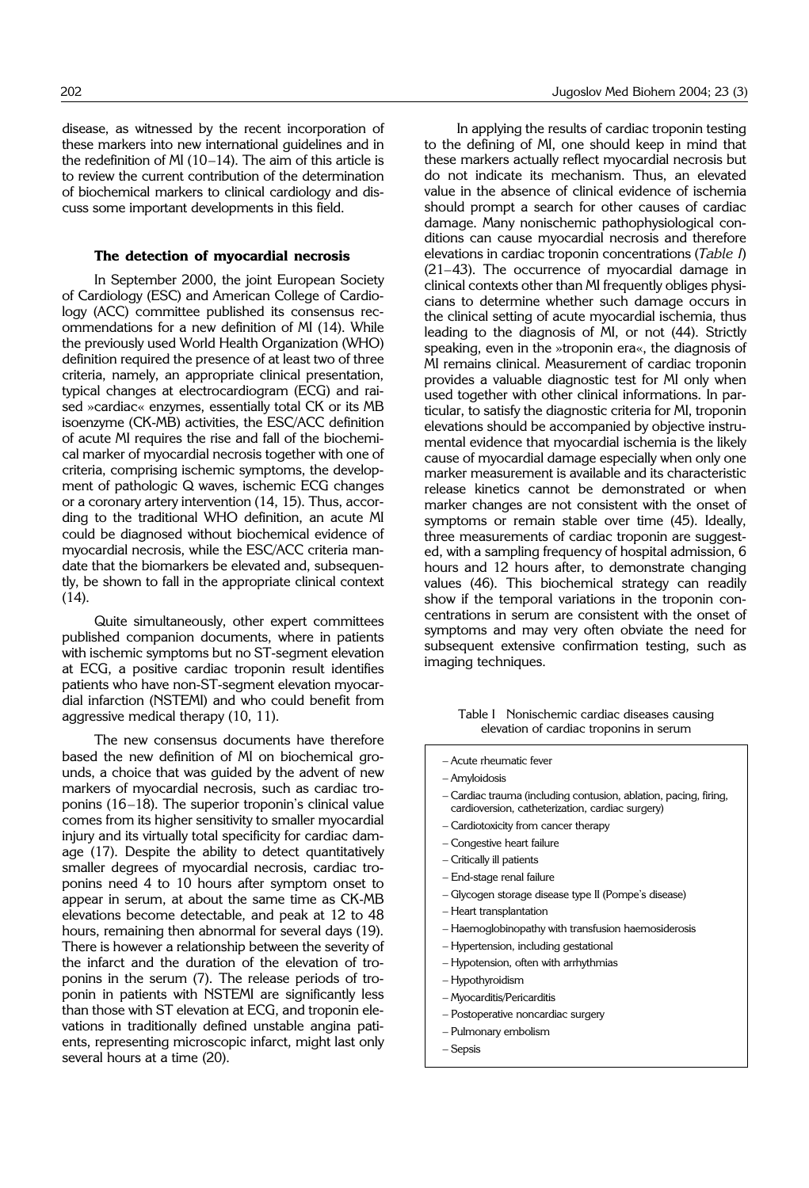disease, as witnessed by the recent incorporation of these markers into new international guidelines and in the redefinition of MI (10–14). The aim of this article is to review the current contribution of the determination of biochemical markers to clinical cardiology and discuss some important developments in this field.

#### **The detection of myocardial necrosis**

In September 2000, the joint European Society of Cardiology (ESC) and American College of Cardiology (ACC) committee published its consensus recommendations for a new definition of MI (14). While the previously used World Health Organization (WHO) definition required the presence of at least two of three criteria, namely, an appropriate clinical presentation, typical changes at electrocardiogram (ECG) and raised »cardiac« enzymes, essentially total CK or its MB isoenzyme (CK-MB) activities, the ESC/ACC definition of acute MI requires the rise and fall of the biochemical marker of myocardial necrosis together with one of criteria, comprising ischemic symptoms, the development of pathologic Q waves, ischemic ECG changes or a coronary artery intervention (14, 15). Thus, according to the traditional WHO definition, an acute MI could be diagnosed without biochemical evidence of myocardial necrosis, while the ESC/ACC criteria mandate that the biomarkers be elevated and, subsequently, be shown to fall in the appropriate clinical context (14).

Quite simultaneously, other expert committees published companion documents, where in patients with ischemic symptoms but no ST-segment elevation at ECG, a positive cardiac troponin result identifies patients who have non-ST-segment elevation myocardial infarction (NSTEMI) and who could benefit from aggressive medical therapy (10, 11).

The new consensus documents have therefore based the new definition of MI on biochemical grounds, a choice that was guided by the advent of new markers of myocardial necrosis, such as cardiac troponins (16–18). The superior troponin's clinical value comes from its higher sensitivity to smaller myocardial injury and its virtually total specificity for cardiac damage (17). Despite the ability to detect quantitatively smaller degrees of myocardial necrosis, cardiac troponins need 4 to 10 hours after symptom onset to appear in serum, at about the same time as CK-MB elevations become detectable, and peak at 12 to 48 hours, remaining then abnormal for several days (19). There is however a relationship between the severity of the infarct and the duration of the elevation of troponins in the serum (7). The release periods of troponin in patients with NSTEMI are significantly less than those with ST elevation at ECG, and troponin elevations in traditionally defined unstable angina patients, representing microscopic infarct, might last only several hours at a time (20).

In applying the results of cardiac troponin testing to the defining of MI, one should keep in mind that these markers actually reflect myocardial necrosis but do not indicate its mechanism. Thus, an elevated value in the absence of clinical evidence of ischemia should prompt a search for other causes of cardiac damage. Many nonischemic pathophysiological conditions can cause myocardial necrosis and therefore elevations in cardiac troponin concentrations (*Table I*) (21–43). The occurrence of myocardial damage in clinical contexts other than MI frequently obliges physicians to determine whether such damage occurs in the clinical setting of acute myocardial ischemia, thus leading to the diagnosis of MI, or not (44). Strictly speaking, even in the »troponin era«, the diagnosis of MI remains clinical. Measurement of cardiac troponin provides a valuable diagnostic test for MI only when used together with other clinical informations. In particular, to satisfy the diagnostic criteria for MI, troponin elevations should be accompanied by objective instrumental evidence that myocardial ischemia is the likely cause of myocardial damage especially when only one marker measurement is available and its characteristic release kinetics cannot be demonstrated or when marker changes are not consistent with the onset of symptoms or remain stable over time (45). Ideally, three measurements of cardiac troponin are suggested, with a sampling frequency of hospital admission, 6 hours and 12 hours after, to demonstrate changing values (46). This biochemical strategy can readily show if the temporal variations in the troponin concentrations in serum are consistent with the onset of symptoms and may very often obviate the need for subsequent extensive confirmation testing, such as imaging techniques.

> Table I Nonischemic cardiac diseases causing elevation of cardiac troponins in serum

- Acute rheumatic fever
- Amyloidosis
- Cardiac trauma (including contusion, ablation, pacing, firing, cardioversion, catheterization, cardiac surgery)
- Cardiotoxicity from cancer therapy
- Congestive heart failure
- Critically ill patients
- End-stage renal failure
- Glycogen storage disease type II (Pompe's disease)
- Heart transplantation
- Haemoglobinopathy with transfusion haemosiderosis
- Hypertension, including gestational
- Hypotension, often with arrhythmias
- Hypothyroidism
- Myocarditis/Pericarditis
- Postoperative noncardiac surgery
- Pulmonary embolism
- Sepsis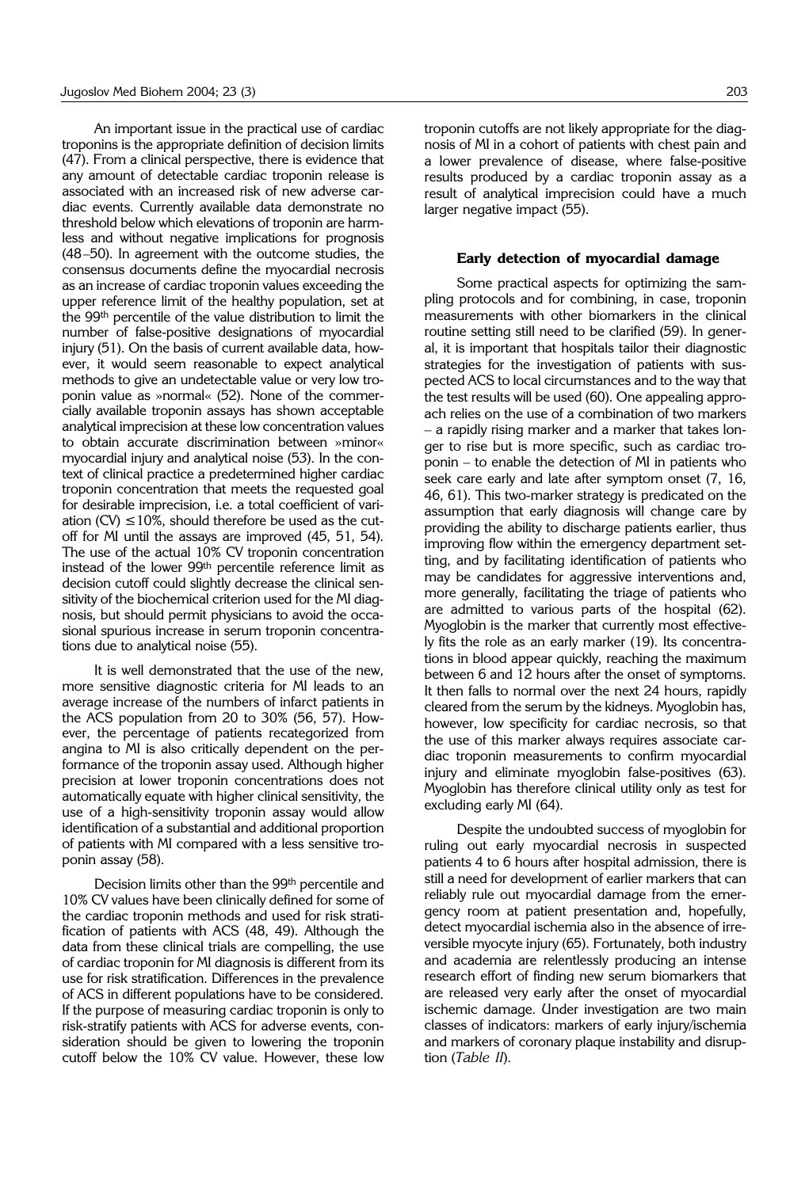An important issue in the practical use of cardiac troponins is the appropriate definition of decision limits (47). From a clinical perspective, there is evidence that any amount of detectable cardiac troponin release is associated with an increased risk of new adverse cardiac events. Currently available data demonstrate no threshold below which elevations of troponin are harmless and without negative implications for prognosis (48–50). In agreement with the outcome studies, the consensus documents define the myocardial necrosis as an increase of cardiac troponin values exceeding the upper reference limit of the healthy population, set at the 99th percentile of the value distribution to limit the number of false-positive designations of myocardial injury (51). On the basis of current available data, however, it would seem reasonable to expect analytical methods to give an undetectable value or very low troponin value as »normal« (52). None of the commercially available troponin assays has shown acceptable analytical imprecision at these low concentration values to obtain accurate discrimination between »minor« myocardial injury and analytical noise (53). In the context of clinical practice a predetermined higher cardiac troponin concentration that meets the requested goal for desirable imprecision, i.e. a total coefficient of variation (CV)  $\leq$  10%, should therefore be used as the cutoff for MI until the assays are improved (45, 51, 54). The use of the actual 10% CV troponin concentration instead of the lower 99th percentile reference limit as decision cutoff could slightly decrease the clinical sensitivity of the biochemical criterion used for the MI diagnosis, but should permit physicians to avoid the occasional spurious increase in serum troponin concentrations due to analytical noise (55).

It is well demonstrated that the use of the new, more sensitive diagnostic criteria for MI leads to an average increase of the numbers of infarct patients in the ACS population from 20 to 30% (56, 57). However, the percentage of patients recategorized from angina to MI is also critically dependent on the performance of the troponin assay used. Although higher precision at lower troponin concentrations does not automatically equate with higher clinical sensitivity, the use of a high-sensitivity troponin assay would allow identification of a substantial and additional proportion of patients with MI compared with a less sensitive troponin assay (58).

Decision limits other than the 99th percentile and 10% CV values have been clinically defined for some of the cardiac troponin methods and used for risk stratification of patients with ACS (48, 49). Although the data from these clinical trials are compelling, the use of cardiac troponin for MI diagnosis is different from its use for risk stratification. Differences in the prevalence of ACS in different populations have to be considered. If the purpose of measuring cardiac troponin is only to risk-stratify patients with ACS for adverse events, consideration should be given to lowering the troponin cutoff below the 10% CV value. However, these low

troponin cutoffs are not likely appropriate for the diagnosis of MI in a cohort of patients with chest pain and a lower prevalence of disease, where false-positive results produced by a cardiac troponin assay as a result of analytical imprecision could have a much larger negative impact (55).

#### **Early detection of myocardial damage**

Some practical aspects for optimizing the sampling protocols and for combining, in case, troponin measurements with other biomarkers in the clinical routine setting still need to be clarified (59). In general, it is important that hospitals tailor their diagnostic strategies for the investigation of patients with suspected ACS to local circumstances and to the way that the test results will be used (60). One appealing approach relies on the use of a combination of two markers – a rapidly rising marker and a marker that takes longer to rise but is more specific, such as cardiac troponin – to enable the detection of MI in patients who seek care early and late after symptom onset (7, 16, 46, 61). This two-marker strategy is predicated on the assumption that early diagnosis will change care by providing the ability to discharge patients earlier, thus improving flow within the emergency department setting, and by facilitating identification of patients who may be candidates for aggressive interventions and, more generally, facilitating the triage of patients who are admitted to various parts of the hospital (62). Myoglobin is the marker that currently most effectively fits the role as an early marker (19). Its concentrations in blood appear quickly, reaching the maximum between 6 and 12 hours after the onset of symptoms. It then falls to normal over the next 24 hours, rapidly cleared from the serum by the kidneys. Myoglobin has, however, low specificity for cardiac necrosis, so that the use of this marker always requires associate cardiac troponin measurements to confirm myocardial injury and eliminate myoglobin false-positives (63). Myoglobin has therefore clinical utility only as test for excluding early MI (64).

Despite the undoubted success of myoglobin for ruling out early myocardial necrosis in suspected patients 4 to 6 hours after hospital admission, there is still a need for development of earlier markers that can reliably rule out myocardial damage from the emergency room at patient presentation and, hopefully, detect myocardial ischemia also in the absence of irreversible myocyte injury (65). Fortunately, both industry and academia are relentlessly producing an intense research effort of finding new serum biomarkers that are released very early after the onset of myocardial ischemic damage. Under investigation are two main classes of indicators: markers of early injury/ischemia and markers of coronary plaque instability and disruption (*Table II*).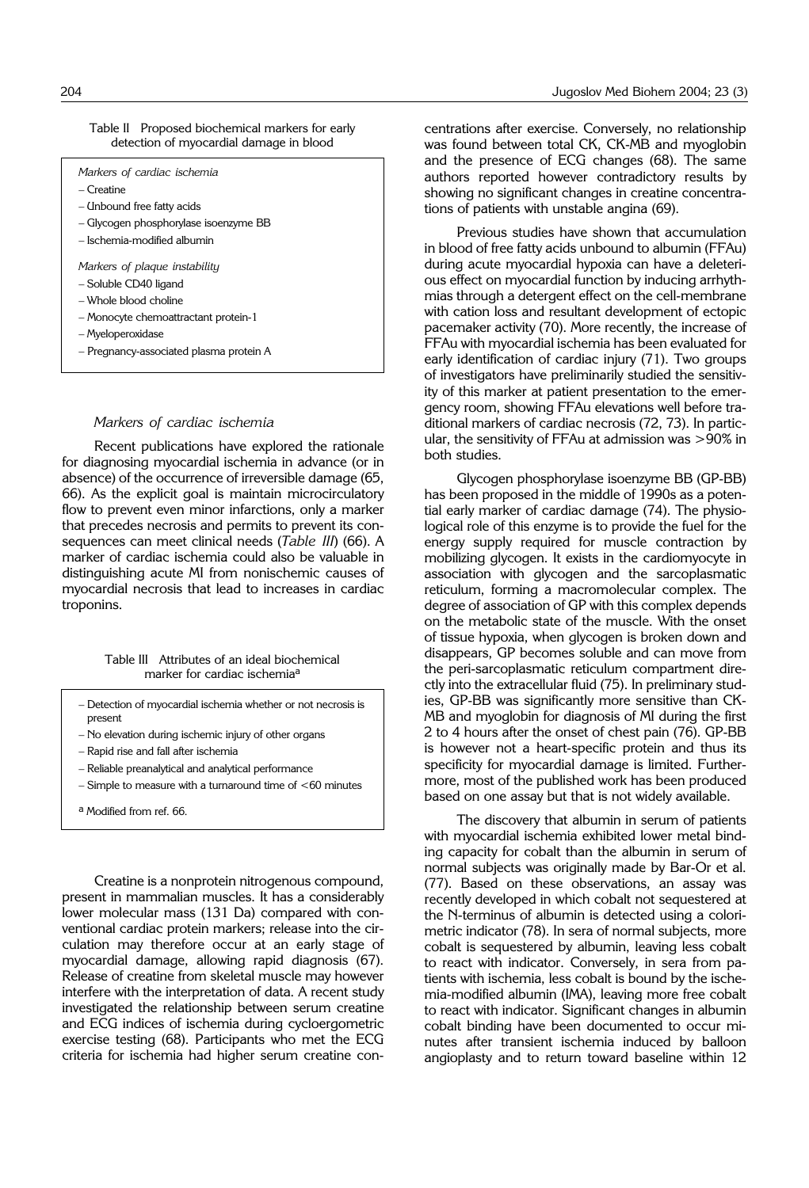| Table II Proposed biochemical markers for early |
|-------------------------------------------------|
| detection of myocardial damage in blood         |

| Markers of cardiac ischemia                                                                                                                                                             |  |  |  |
|-----------------------------------------------------------------------------------------------------------------------------------------------------------------------------------------|--|--|--|
| – Creatine                                                                                                                                                                              |  |  |  |
| – Unbound free fatty acids                                                                                                                                                              |  |  |  |
| – Glycogen phosphorylase isoenzyme BB                                                                                                                                                   |  |  |  |
| – Ischemia-modified albumin                                                                                                                                                             |  |  |  |
| Markers of plaque instability<br>- Soluble CD40 ligand<br>– Whole blood choline<br>- Monocyte chemoattractant protein-1<br>– Myeloperoxidase<br>- Pregnancy-associated plasma protein A |  |  |  |

#### *Markers of cardiac ischemia*

Recent publications have explored the rationale for diagnosing myocardial ischemia in advance (or in absence) of the occurrence of irreversible damage (65, 66). As the explicit goal is maintain microcirculatory flow to prevent even minor infarctions, only a marker that precedes necrosis and permits to prevent its consequences can meet clinical needs (*Table III*) (66). A marker of cardiac ischemia could also be valuable in distinguishing acute MI from nonischemic causes of myocardial necrosis that lead to increases in cardiac troponins.

#### Table III Attributes of an ideal biochemical marker for cardiac ischemiaa

- Detection of myocardial ischemia whether or not necrosis is present
- No elevation during ischemic injury of other organs
- Rapid rise and fall after ischemia
- Reliable preanalytical and analytical performance
- Simple to measure with a turnaround time of <60 minutes
- a Modified from ref. 66.

Creatine is a nonprotein nitrogenous compound, present in mammalian muscles. It has a considerably lower molecular mass (131 Da) compared with conventional cardiac protein markers; release into the circulation may therefore occur at an early stage of myocardial damage, allowing rapid diagnosis (67). Release of creatine from skeletal muscle may however interfere with the interpretation of data. A recent study investigated the relationship between serum creatine and ECG indices of ischemia during cycloergometric exercise testing (68). Participants who met the ECG criteria for ischemia had higher serum creatine concentrations after exercise. Conversely, no relationship was found between total CK, CK-MB and myoglobin and the presence of ECG changes (68). The same authors reported however contradictory results by showing no significant changes in creatine concentrations of patients with unstable angina (69).

Previous studies have shown that accumulation in blood of free fatty acids unbound to albumin (FFAu) during acute myocardial hypoxia can have a deleterious effect on myocardial function by inducing arrhythmias through a detergent effect on the cell-membrane with cation loss and resultant development of ectopic pacemaker activity (70). More recently, the increase of FFAu with myocardial ischemia has been evaluated for early identification of cardiac injury (71). Two groups of investigators have preliminarily studied the sensitivity of this marker at patient presentation to the emergency room, showing FFAu elevations well before traditional markers of cardiac necrosis (72, 73). In particular, the sensitivity of FFAu at admission was >90% in both studies.

Glycogen phosphorylase isoenzyme BB (GP-BB) has been proposed in the middle of 1990s as a potential early marker of cardiac damage (74). The physiological role of this enzyme is to provide the fuel for the energy supply required for muscle contraction by mobilizing glycogen. It exists in the cardiomyocyte in association with glycogen and the sarcoplasmatic reticulum, forming a macromolecular complex. The degree of association of GP with this complex depends on the metabolic state of the muscle. With the onset of tissue hypoxia, when glycogen is broken down and disappears, GP becomes soluble and can move from the peri-sarcoplasmatic reticulum compartment directly into the extracellular fluid (75). In preliminary studies, GP-BB was significantly more sensitive than CK-MB and myoglobin for diagnosis of MI during the first 2 to 4 hours after the onset of chest pain (76). GP-BB is however not a heart-specific protein and thus its specificity for myocardial damage is limited. Furthermore, most of the published work has been produced based on one assay but that is not widely available.

The discovery that albumin in serum of patients with myocardial ischemia exhibited lower metal binding capacity for cobalt than the albumin in serum of normal subjects was originally made by Bar-Or et al. (77). Based on these observations, an assay was recently developed in which cobalt not sequestered at the N-terminus of albumin is detected using a colorimetric indicator (78). In sera of normal subjects, more cobalt is sequestered by albumin, leaving less cobalt to react with indicator. Conversely, in sera from patients with ischemia, less cobalt is bound by the ischemia-modified albumin (IMA), leaving more free cobalt to react with indicator. Significant changes in albumin cobalt binding have been documented to occur minutes after transient ischemia induced by balloon angioplasty and to return toward baseline within 12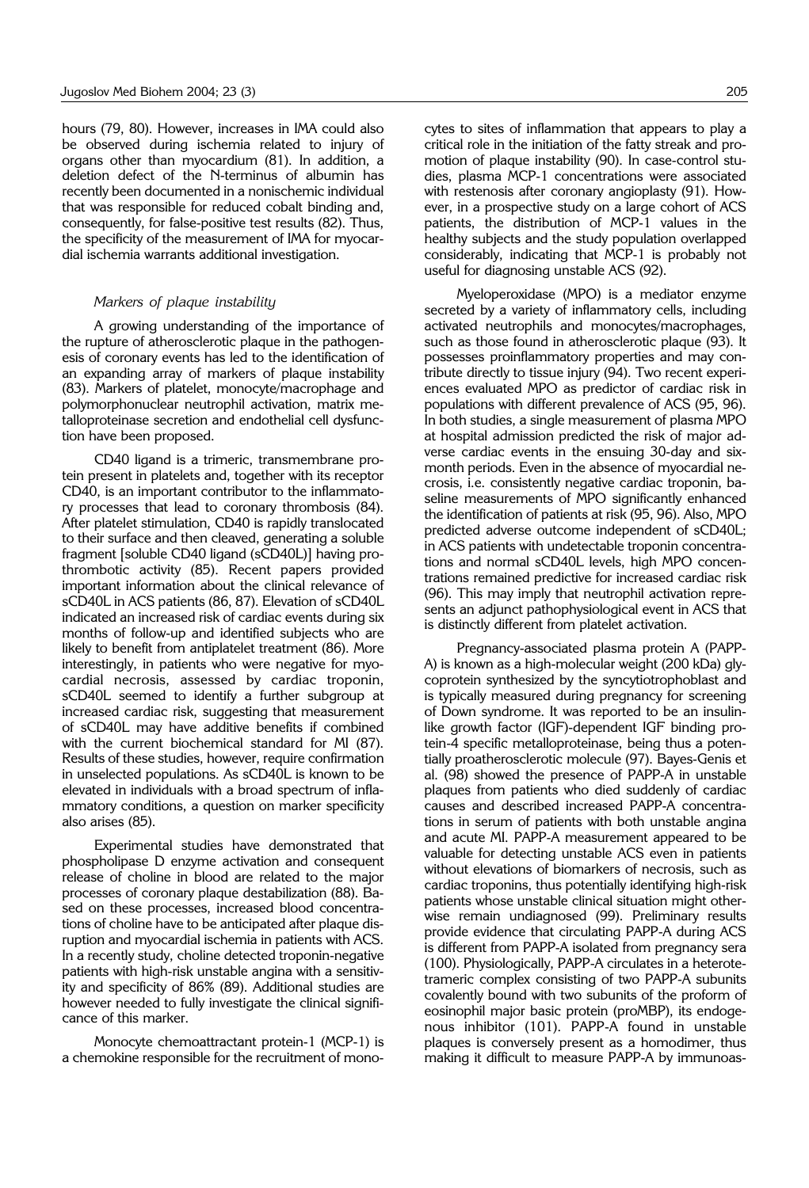hours (79, 80). However, increases in IMA could also be observed during ischemia related to injury of organs other than myocardium (81). In addition, a deletion defect of the N-terminus of albumin has recently been documented in a nonischemic individual that was responsible for reduced cobalt binding and, consequently, for false-positive test results (82). Thus, the specificity of the measurement of IMA for myocardial ischemia warrants additional investigation.

#### *Markers of plaque instability*

A growing understanding of the importance of the rupture of atherosclerotic plaque in the pathogenesis of coronary events has led to the identification of an expanding array of markers of plaque instability (83). Markers of platelet, monocyte/macrophage and polymorphonuclear neutrophil activation, matrix metalloproteinase secretion and endothelial cell dysfunction have been proposed.

CD40 ligand is a trimeric, transmembrane protein present in platelets and, together with its receptor CD40, is an important contributor to the inflammatory processes that lead to coronary thrombosis (84). After platelet stimulation, CD40 is rapidly translocated to their surface and then cleaved, generating a soluble fragment [soluble CD40 ligand (sCD40L)] having prothrombotic activity (85). Recent papers provided important information about the clinical relevance of sCD40L in ACS patients (86, 87). Elevation of sCD40L indicated an increased risk of cardiac events during six months of follow-up and identified subjects who are likely to benefit from antiplatelet treatment (86). More interestingly, in patients who were negative for myocardial necrosis, assessed by cardiac troponin, sCD40L seemed to identify a further subgroup at increased cardiac risk, suggesting that measurement of sCD40L may have additive benefits if combined with the current biochemical standard for MI (87). Results of these studies, however, require confirmation in unselected populations. As sCD40L is known to be elevated in individuals with a broad spectrum of inflammatory conditions, a question on marker specificity also arises (85).

Experimental studies have demonstrated that phospholipase D enzyme activation and consequent release of choline in blood are related to the major processes of coronary plaque destabilization (88). Based on these processes, increased blood concentrations of choline have to be anticipated after plaque disruption and myocardial ischemia in patients with ACS. In a recently study, choline detected troponin-negative patients with high-risk unstable angina with a sensitivity and specificity of 86% (89). Additional studies are however needed to fully investigate the clinical significance of this marker.

Monocyte chemoattractant protein-1 (MCP-1) is a chemokine responsible for the recruitment of monocytes to sites of inflammation that appears to play a critical role in the initiation of the fatty streak and promotion of plaque instability (90). In case-control studies, plasma MCP-1 concentrations were associated with restenosis after coronary angioplasty (91). However, in a prospective study on a large cohort of ACS patients, the distribution of MCP-1 values in the healthy subjects and the study population overlapped considerably, indicating that MCP-1 is probably not useful for diagnosing unstable ACS (92).

Myeloperoxidase (MPO) is a mediator enzyme secreted by a variety of inflammatory cells, including activated neutrophils and monocytes/macrophages, such as those found in atherosclerotic plaque (93). It possesses proinflammatory properties and may contribute directly to tissue injury (94). Two recent experiences evaluated MPO as predictor of cardiac risk in populations with different prevalence of ACS (95, 96). In both studies, a single measurement of plasma MPO at hospital admission predicted the risk of major adverse cardiac events in the ensuing 30-day and sixmonth periods. Even in the absence of myocardial necrosis, i.e. consistently negative cardiac troponin, baseline measurements of MPO significantly enhanced the identification of patients at risk (95, 96). Also, MPO predicted adverse outcome independent of sCD40L; in ACS patients with undetectable troponin concentrations and normal sCD40L levels, high MPO concentrations remained predictive for increased cardiac risk (96). This may imply that neutrophil activation represents an adjunct pathophysiological event in ACS that is distinctly different from platelet activation.

Pregnancy-associated plasma protein A (PAPP-A) is known as a high-molecular weight (200 kDa) glycoprotein synthesized by the syncytiotrophoblast and is typically measured during pregnancy for screening of Down syndrome. It was reported to be an insulinlike growth factor (IGF)-dependent IGF binding protein-4 specific metalloproteinase, being thus a potentially proatherosclerotic molecule (97). Bayes-Genis et al. (98) showed the presence of PAPP-A in unstable plaques from patients who died suddenly of cardiac causes and described increased PAPP-A concentrations in serum of patients with both unstable angina and acute MI. PAPP-A measurement appeared to be valuable for detecting unstable ACS even in patients without elevations of biomarkers of necrosis, such as cardiac troponins, thus potentially identifying high-risk patients whose unstable clinical situation might otherwise remain undiagnosed (99). Preliminary results provide evidence that circulating PAPP-A during ACS is different from PAPP-A isolated from pregnancy sera (100). Physiologically, PAPP-A circulates in a heterotetrameric complex consisting of two PAPP-A subunits covalently bound with two subunits of the proform of eosinophil major basic protein (proMBP), its endogenous inhibitor (101). PAPP-A found in unstable plaques is conversely present as a homodimer, thus making it difficult to measure PAPP-A by immunoas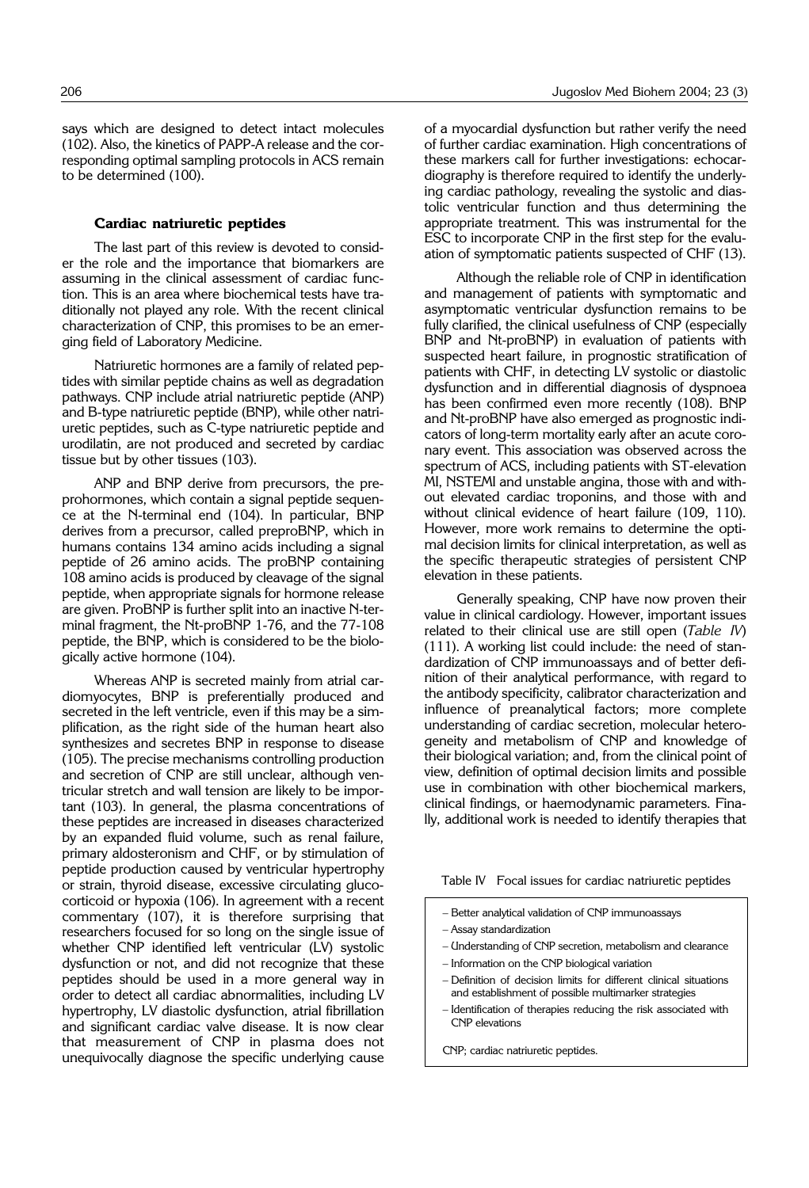says which are designed to detect intact molecules (102). Also, the kinetics of PAPP-A release and the corresponding optimal sampling protocols in ACS remain to be determined (100).

#### **Cardiac natriuretic peptides**

The last part of this review is devoted to consider the role and the importance that biomarkers are assuming in the clinical assessment of cardiac function. This is an area where biochemical tests have traditionally not played any role. With the recent clinical characterization of CNP, this promises to be an emerging field of Laboratory Medicine.

Natriuretic hormones are a family of related peptides with similar peptide chains as well as degradation pathways. CNP include atrial natriuretic peptide (ANP) and B-type natriuretic peptide (BNP), while other natriuretic peptides, such as C-type natriuretic peptide and urodilatin, are not produced and secreted by cardiac tissue but by other tissues (103).

ANP and BNP derive from precursors, the preprohormones, which contain a signal peptide sequence at the N-terminal end (104). In particular, BNP derives from a precursor, called preproBNP, which in humans contains 134 amino acids including a signal peptide of 26 amino acids. The proBNP containing 108 amino acids is produced by cleavage of the signal peptide, when appropriate signals for hormone release are given. ProBNP is further split into an inactive N-terminal fragment, the Nt-proBNP 1-76, and the 77-108 peptide, the BNP, which is considered to be the biologically active hormone (104).

Whereas ANP is secreted mainly from atrial cardiomyocytes, BNP is preferentially produced and secreted in the left ventricle, even if this may be a simplification, as the right side of the human heart also synthesizes and secretes BNP in response to disease (105). The precise mechanisms controlling production and secretion of CNP are still unclear, although ventricular stretch and wall tension are likely to be important (103). In general, the plasma concentrations of these peptides are increased in diseases characterized by an expanded fluid volume, such as renal failure, primary aldosteronism and CHF, or by stimulation of peptide production caused by ventricular hypertrophy or strain, thyroid disease, excessive circulating glucocorticoid or hypoxia (106). In agreement with a recent commentary (107), it is therefore surprising that researchers focused for so long on the single issue of whether CNP identified left ventricular (LV) systolic dysfunction or not, and did not recognize that these peptides should be used in a more general way in order to detect all cardiac abnormalities, including LV hypertrophy, LV diastolic dysfunction, atrial fibrillation and significant cardiac valve disease. It is now clear that measurement of CNP in plasma does not unequivocally diagnose the specific underlying cause

of a myocardial dysfunction but rather verify the need of further cardiac examination. High concentrations of these markers call for further investigations: echocardiography is therefore required to identify the underlying cardiac pathology, revealing the systolic and diastolic ventricular function and thus determining the appropriate treatment. This was instrumental for the ESC to incorporate CNP in the first step for the evaluation of symptomatic patients suspected of CHF (13).

Although the reliable role of CNP in identification and management of patients with symptomatic and asymptomatic ventricular dysfunction remains to be fully clarified, the clinical usefulness of CNP (especially BNP and Nt-proBNP) in evaluation of patients with suspected heart failure, in prognostic stratification of patients with CHF, in detecting LV systolic or diastolic dysfunction and in differential diagnosis of dyspnoea has been confirmed even more recently (108). BNP and Nt-proBNP have also emerged as prognostic indicators of long-term mortality early after an acute coronary event. This association was observed across the spectrum of ACS, including patients with ST-elevation MI, NSTEMI and unstable angina, those with and without elevated cardiac troponins, and those with and without clinical evidence of heart failure (109, 110). However, more work remains to determine the optimal decision limits for clinical interpretation, as well as the specific therapeutic strategies of persistent CNP elevation in these patients.

Generally speaking, CNP have now proven their value in clinical cardiology. However, important issues related to their clinical use are still open (*Table IV*) (111). A working list could include: the need of standardization of CNP immunoassays and of better definition of their analytical performance, with regard to the antibody specificity, calibrator characterization and influence of preanalytical factors; more complete understanding of cardiac secretion, molecular heterogeneity and metabolism of CNP and knowledge of their biological variation; and, from the clinical point of view, definition of optimal decision limits and possible use in combination with other biochemical markers, clinical findings, or haemodynamic parameters. Finally, additional work is needed to identify therapies that

Table IV Focal issues for cardiac natriuretic peptides

- Better analytical validation of CNP immunoassays
- Assay standardization
- Understanding of CNP secretion, metabolism and clearance
- Information on the CNP biological variation
- Definition of decision limits for different clinical situations and establishment of possible multimarker strategies
- Identification of therapies reducing the risk associated with CNP elevations

CNP; cardiac natriuretic peptides.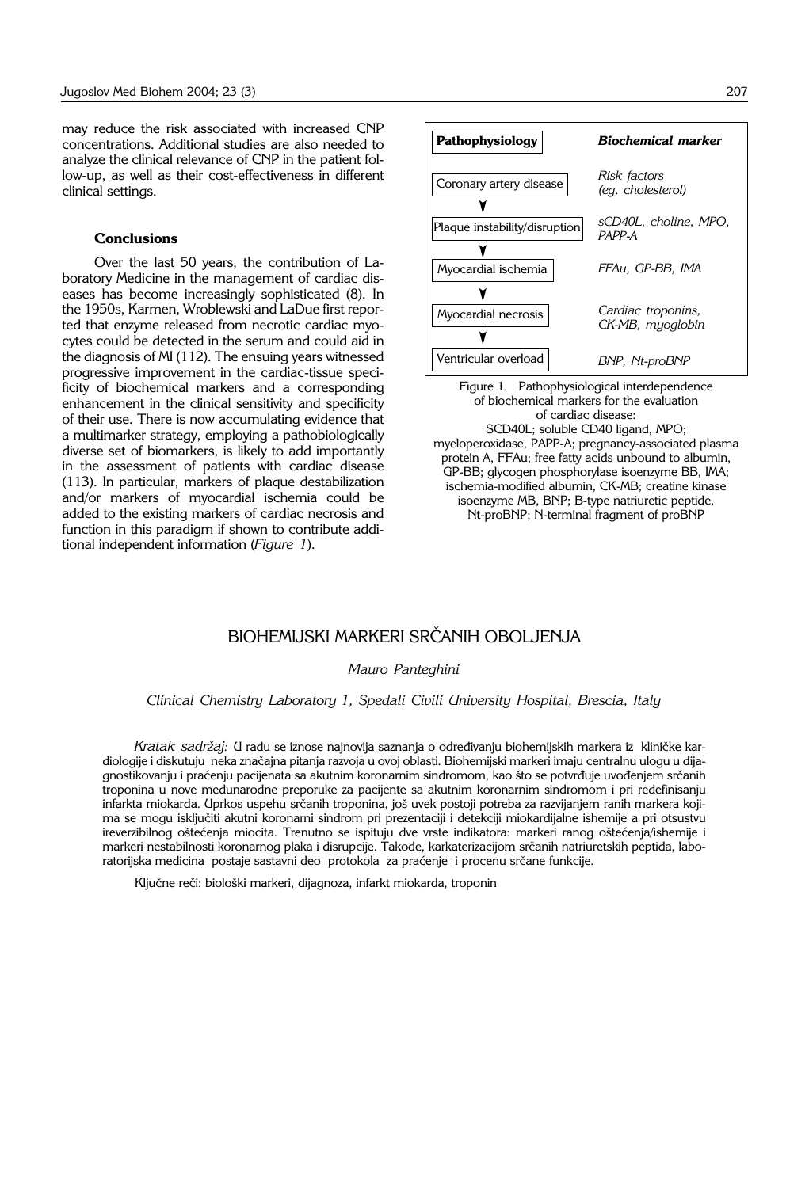may reduce the risk associated with increased CNP concentrations. Additional studies are also needed to analyze the clinical relevance of CNP in the patient follow-up, as well as their cost-effectiveness in different clinical settings.

### **Conclusions**

Over the last 50 years, the contribution of Laboratory Medicine in the management of cardiac diseases has become increasingly sophisticated (8). In the 1950s, Karmen, Wroblewski and LaDue first reported that enzyme released from necrotic cardiac myocytes could be detected in the serum and could aid in the diagnosis of MI (112). The ensuing years witnessed progressive improvement in the cardiac-tissue specificity of biochemical markers and a corresponding enhancement in the clinical sensitivity and specificity of their use. There is now accumulating evidence that a multimarker strategy, employing a pathobiologically diverse set of biomarkers, is likely to add importantly in the assessment of patients with cardiac disease (113). In particular, markers of plaque destabilization and/or markers of myocardial ischemia could be added to the existing markers of cardiac necrosis and function in this paradigm if shown to contribute additional independent information (*Figure 1*).

| Pathophysiology               | <b>Biochemical marker</b>              |
|-------------------------------|----------------------------------------|
| Coronary artery disease       | Risk factors<br>(eq. cholesterol)      |
| Plaque instability/disruption | sCD40L, choline, MPO,<br>PAPP-A        |
|                               |                                        |
| Myocardial ischemia           | FFAu. GP-BB. IMA                       |
|                               |                                        |
| Myocardial necrosis           | Cardiac troponins,<br>CK-MB, myoglobin |
|                               |                                        |
| Ventricular overload          | BNP, Nt-proBNP                         |

Figure 1. Pathophysiological interdependence of biochemical markers for the evaluation of cardiac disease: SCD40L; soluble CD40 ligand, MPO; myeloperoxidase, PAPP-A; pregnancy-associated plasma protein A, FFAu; free fatty acids unbound to albumin,

GP-BB; glycogen phosphorylase isoenzyme BB, IMA; ischemia-modified albumin, CK-MB; creatine kinase isoenzyme MB, BNP; B-type natriuretic peptide, Nt-proBNP; N-terminal fragment of proBNP

# BIOHEMIJSKI MARKERI SRČANIH OBOLJENJA

 $\Box$ 

*Mauro Panteghini*

*Clinical Chemistry Laboratory 1, Spedali Civili University Hospital, Brescia, Italy*

*Kratak sadržaj: U radu se iznose najnovija saznanja o određivanju biohemijskih markera iz kliničke kar*diologije i diskutuju neka značajna pitanja razvoja u ovoj oblasti. Biohemijski markeri imaju centralnu ulogu u dijagnostikovanju i praćenju pacijenata sa akutnim koronarnim sindromom, kao što se potvrđuje uvođenjem srčanih troponina u nove međunarodne preporuke za pacijente sa akutnim koronarnim sindromom i pri redefinisanju infarkta miokarda. Uprkos uspehu srčanih troponina, još uvek postoji potreba za razvijanjem ranih markera kojima se mogu isključiti akutni koronarni sindrom pri prezentaciji i detekciji miokardijalne ishemije a pri otsustvu ireverzibilnog oštećenja miocita. Trenutno se ispituju dve vrste indikatora: markeri ranog oštećenja/ishemije i markeri nestabilnosti koronarnog plaka i disrupcije. Takođe, karkaterizacijom srčanih natriuretskih peptida, laboratorijska medicina postaje sastavni deo protokola za praćenje i procenu srčane funkcije.

Ključne reči: biološki markeri, dijagnoza, infarkt miokarda, troponin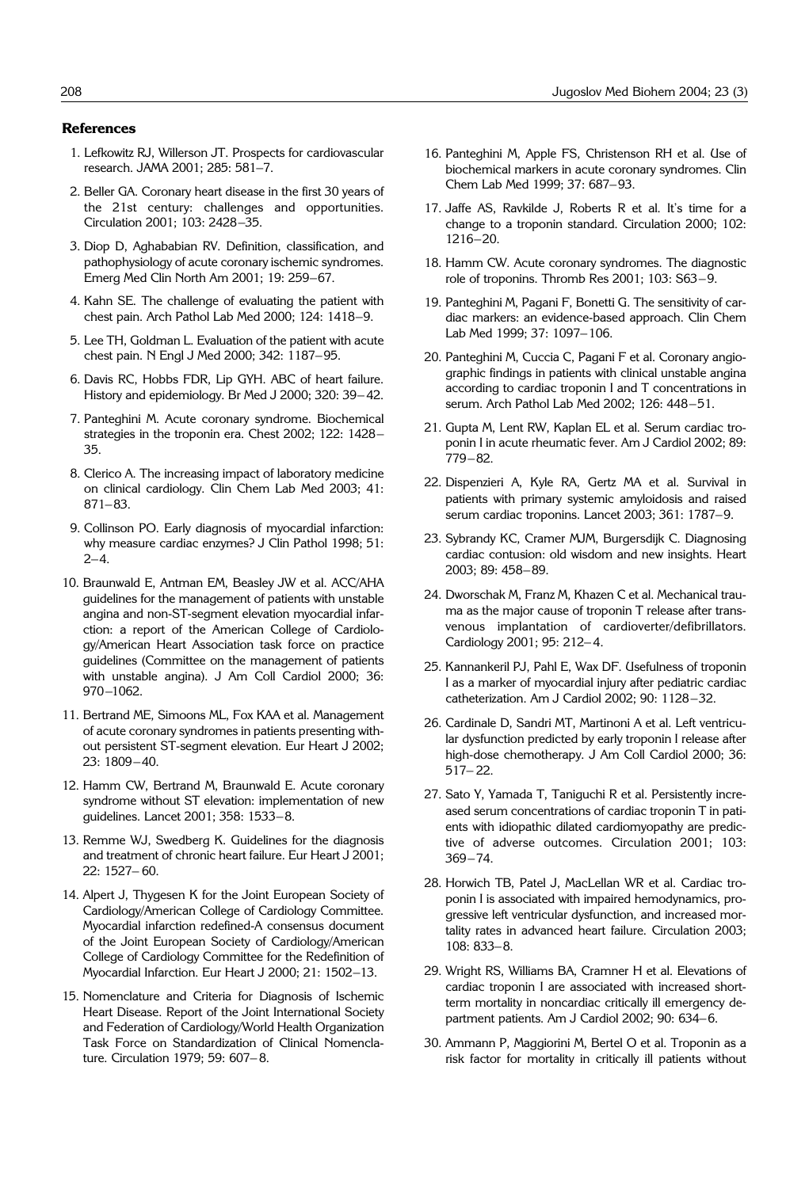#### **References**

- 1. Lefkowitz RJ, Willerson JT. Prospects for cardiovascular research. JAMA 2001; 285: 581–7.
- 2. Beller GA. Coronary heart disease in the first 30 years of the 21st century: challenges and opportunities. Circulation 2001; 103: 2428–35.
- 3. Diop D, Aghababian RV. Definition, classification, and pathophysiology of acute coronary ischemic syndromes. Emerg Med Clin North Am 2001; 19: 259–67.
- 4. Kahn SE. The challenge of evaluating the patient with chest pain. Arch Pathol Lab Med 2000; 124: 1418–9.
- 5. Lee TH, Goldman L. Evaluation of the patient with acute chest pain. N Engl J Med 2000; 342: 1187–95.
- 6. Davis RC, Hobbs FDR, Lip GYH. ABC of heart failure. History and epidemiology. Br Med J 2000; 320: 39– 42.
- 7. Panteghini M. Acute coronary syndrome. Biochemical strategies in the troponin era. Chest 2002; 122: 1428– 35.
- 8. Clerico A. The increasing impact of laboratory medicine on clinical cardiology. Clin Chem Lab Med 2003; 41: 871–83.
- 9. Collinson PO. Early diagnosis of myocardial infarction: why measure cardiac enzymes? J Clin Pathol 1998; 51:  $2 - 4$ .
- 10. Braunwald E, Antman EM, Beasley JW et al. ACC/AHA guidelines for the management of patients with unstable angina and non-ST-segment elevation myocardial infarction: a report of the American College of Cardiology/American Heart Association task force on practice guidelines (Committee on the management of patients with unstable angina). J Am Coll Cardiol 2000; 36: 970–1062.
- 11. Bertrand ME, Simoons ML, Fox KAA et al. Management of acute coronary syndromes in patients presenting without persistent ST-segment elevation. Eur Heart J 2002; 23: 1809–40.
- 12. Hamm CW, Bertrand M, Braunwald E. Acute coronary syndrome without ST elevation: implementation of new guidelines. Lancet 2001; 358: 1533–8.
- 13. Remme WJ, Swedberg K. Guidelines for the diagnosis and treatment of chronic heart failure. Eur Heart J 2001; 22: 1527– 60.
- 14. Alpert J, Thygesen K for the Joint European Society of Cardiology/American College of Cardiology Committee. Myocardial infarction redefined-A consensus document of the Joint European Society of Cardiology/American College of Cardiology Committee for the Redefinition of Myocardial Infarction. Eur Heart J 2000; 21: 1502–13.
- 15. Nomenclature and Criteria for Diagnosis of Ischemic Heart Disease. Report of the Joint International Society and Federation of Cardiology/World Health Organization Task Force on Standardization of Clinical Nomenclature. Circulation 1979; 59: 607– 8.
- 16. Panteghini M, Apple FS, Christenson RH et al. Use of biochemical markers in acute coronary syndromes. Clin Chem Lab Med 1999; 37: 687–93.
- 17. Jaffe AS, Ravkilde J, Roberts R et al. It's time for a change to a troponin standard. Circulation 2000; 102: 1216–20.
- 18. Hamm CW. Acute coronary syndromes. The diagnostic role of troponins. Thromb Res 2001; 103: S63–9.
- 19. Panteghini M, Pagani F, Bonetti G. The sensitivity of cardiac markers: an evidence-based approach. Clin Chem Lab Med 1999; 37: 1097–106.
- 20. Panteghini M, Cuccia C, Pagani F et al. Coronary angiographic findings in patients with clinical unstable angina according to cardiac troponin I and T concentrations in serum. Arch Pathol Lab Med 2002; 126: 448–51.
- 21. Gupta M, Lent RW, Kaplan EL et al. Serum cardiac troponin I in acute rheumatic fever. Am J Cardiol 2002; 89: 779–82.
- 22. Dispenzieri A, Kyle RA, Gertz MA et al. Survival in patients with primary systemic amyloidosis and raised serum cardiac troponins. Lancet 2003; 361: 1787–9.
- 23. Sybrandy KC, Cramer MJM, Burgersdijk C. Diagnosing cardiac contusion: old wisdom and new insights. Heart 2003; 89: 458–89.
- 24. Dworschak M, Franz M, Khazen C et al. Mechanical trauma as the major cause of troponin T release after transvenous implantation of cardioverter/defibrillators. Cardiology 2001; 95: 212– 4.
- 25. Kannankeril PJ, Pahl E, Wax DF. Usefulness of troponin I as a marker of myocardial injury after pediatric cardiac catheterization. Am J Cardiol 2002; 90: 1128–32.
- 26. Cardinale D, Sandri MT, Martinoni A et al. Left ventricular dysfunction predicted by early troponin I release after high-dose chemotherapy. J Am Coll Cardiol 2000; 36: 517– 22.
- 27. Sato Y, Yamada T, Taniguchi R et al. Persistently increased serum concentrations of cardiac troponin T in patients with idiopathic dilated cardiomyopathy are predictive of adverse outcomes. Circulation 2001; 103: 369–74.
- 28. Horwich TB, Patel J, MacLellan WR et al. Cardiac troponin I is associated with impaired hemodynamics, progressive left ventricular dysfunction, and increased mortality rates in advanced heart failure. Circulation 2003; 108: 833–8.
- 29. Wright RS, Williams BA, Cramner H et al. Elevations of cardiac troponin I are associated with increased shortterm mortality in noncardiac critically ill emergency department patients. Am J Cardiol 2002; 90: 634–6.
- 30. Ammann P, Maggiorini M, Bertel O et al. Troponin as a risk factor for mortality in critically ill patients without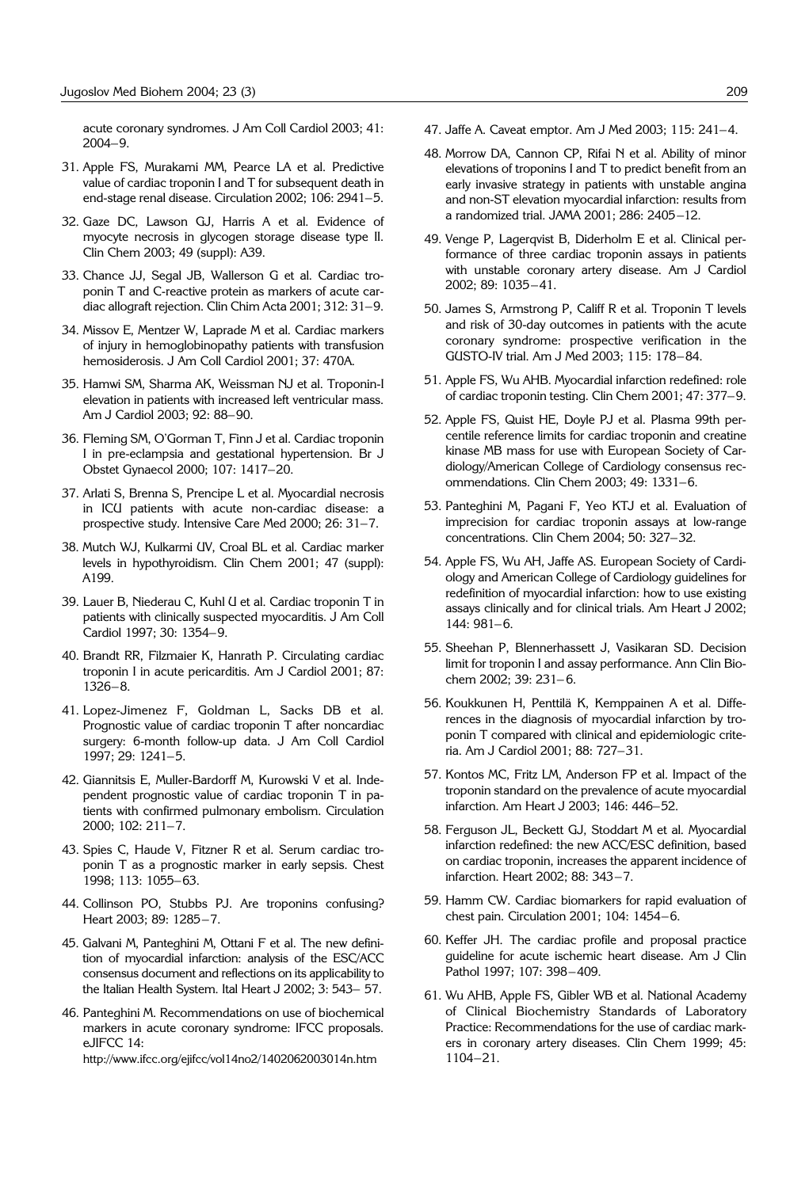acute coronary syndromes. J Am Coll Cardiol 2003; 41: 2004–9.

- 31. Apple FS, Murakami MM, Pearce LA et al. Predictive value of cardiac troponin I and T for subsequent death in end-stage renal disease. Circulation 2002; 106: 2941–5.
- 32. Gaze DC, Lawson GJ, Harris A et al. Evidence of myocyte necrosis in glycogen storage disease type II. Clin Chem 2003; 49 (suppl): A39.
- 33. Chance JJ, Segal JB, Wallerson G et al. Cardiac troponin T and C-reactive protein as markers of acute cardiac allograft rejection. Clin Chim Acta 2001; 312: 31–9.
- 34. Missov E, Mentzer W, Laprade M et al. Cardiac markers of injury in hemoglobinopathy patients with transfusion hemosiderosis. J Am Coll Cardiol 2001; 37: 470A.
- 35. Hamwi SM, Sharma AK, Weissman NJ et al. Troponin-I elevation in patients with increased left ventricular mass. Am J Cardiol 2003; 92: 88–90.
- 36. Fleming SM, O'Gorman T, Finn J et al. Cardiac troponin I in pre-eclampsia and gestational hypertension. Br J Obstet Gynaecol 2000; 107: 1417–20.
- 37. Arlati S, Brenna S, Prencipe L et al. Myocardial necrosis in ICU patients with acute non-cardiac disease: a prospective study. Intensive Care Med 2000; 26: 31–7.
- 38. Mutch WJ, Kulkarmi UV, Croal BL et al. Cardiac marker levels in hypothyroidism. Clin Chem 2001; 47 (suppl): A199.
- 39. Lauer B, Niederau C, Kuhl U et al. Cardiac troponin T in patients with clinically suspected myocarditis. J Am Coll Cardiol 1997; 30: 1354–9.
- 40. Brandt RR, Filzmaier K, Hanrath P. Circulating cardiac troponin I in acute pericarditis. Am J Cardiol 2001; 87: 1326–8.
- 41. Lopez-Jimenez F, Goldman L, Sacks DB et al. Prognostic value of cardiac troponin T after noncardiac surgery: 6-month follow-up data. J Am Coll Cardiol 1997; 29: 1241–5.
- 42. Giannitsis E, Muller-Bardorff M, Kurowski V et al. Independent prognostic value of cardiac troponin T in patients with confirmed pulmonary embolism. Circulation 2000; 102: 211–7.
- 43. Spies C, Haude V, Fitzner R et al. Serum cardiac troponin T as a prognostic marker in early sepsis. Chest 1998; 113: 1055–63.
- 44. Collinson PO, Stubbs PJ. Are troponins confusing? Heart 2003; 89: 1285–7.
- 45. Galvani M, Panteghini M, Ottani F et al. The new definition of myocardial infarction: analysis of the ESC/ACC consensus document and reflections on its applicability to the Italian Health System. Ital Heart J 2002; 3: 543– 57.
- 46. Panteghini M. Recommendations on use of biochemical markers in acute coronary syndrome: IFCC proposals. eJIFCC 14:

http://www.ifcc.org/ejifcc/vol14no2/1402062003014n.htm

- 47. Jaffe A. Caveat emptor. Am J Med 2003; 115: 241–4.
- 48. Morrow DA, Cannon CP, Rifai N et al. Ability of minor elevations of troponins I and T to predict benefit from an early invasive strategy in patients with unstable angina and non-ST elevation myocardial infarction: results from a randomized trial. JAMA 2001; 286: 2405–12.
- 49. Venge P, Lagerqvist B, Diderholm E et al. Clinical performance of three cardiac troponin assays in patients with unstable coronary artery disease. Am J Cardiol 2002; 89: 1035–41.
- 50. James S, Armstrong P, Califf R et al. Troponin T levels and risk of 30-day outcomes in patients with the acute coronary syndrome: prospective verification in the GUSTO-IV trial. Am J Med 2003; 115: 178–84.
- 51. Apple FS, Wu AHB. Myocardial infarction redefined: role of cardiac troponin testing. Clin Chem 2001; 47: 377–9.
- 52. Apple FS, Quist HE, Doyle PJ et al. Plasma 99th percentile reference limits for cardiac troponin and creatine kinase MB mass for use with European Society of Cardiology/American College of Cardiology consensus recommendations. Clin Chem 2003; 49: 1331–6.
- 53. Panteghini M, Pagani F, Yeo KTJ et al. Evaluation of imprecision for cardiac troponin assays at low-range concentrations. Clin Chem 2004; 50: 327–32.
- 54. Apple FS, Wu AH, Jaffe AS. European Society of Cardiology and American College of Cardiology guidelines for redefinition of myocardial infarction: how to use existing assays clinically and for clinical trials. Am Heart J 2002; 144: 981–6.
- 55. Sheehan P, Blennerhassett J, Vasikaran SD. Decision limit for troponin I and assay performance. Ann Clin Biochem 2002; 39: 231-6.
- 56. Koukkunen H, Penttilä K, Kemppainen A et al. Differences in the diagnosis of myocardial infarction by troponin T compared with clinical and epidemiologic criteria. Am J Cardiol 2001; 88: 727–31.
- 57. Kontos MC, Fritz LM, Anderson FP et al. Impact of the troponin standard on the prevalence of acute myocardial infarction. Am Heart J 2003; 146: 446–52.
- 58. Ferguson JL, Beckett GJ, Stoddart M et al. Myocardial infarction redefined: the new ACC/ESC definition, based on cardiac troponin, increases the apparent incidence of infarction. Heart 2002; 88: 343–7.
- 59. Hamm CW. Cardiac biomarkers for rapid evaluation of chest pain. Circulation 2001; 104: 1454–6.
- 60. Keffer JH. The cardiac profile and proposal practice guideline for acute ischemic heart disease. Am J Clin Pathol 1997; 107: 398–409.
- 61. Wu AHB, Apple FS, Gibler WB et al. National Academy of Clinical Biochemistry Standards of Laboratory Practice: Recommendations for the use of cardiac markers in coronary artery diseases. Clin Chem 1999; 45: 1104–21.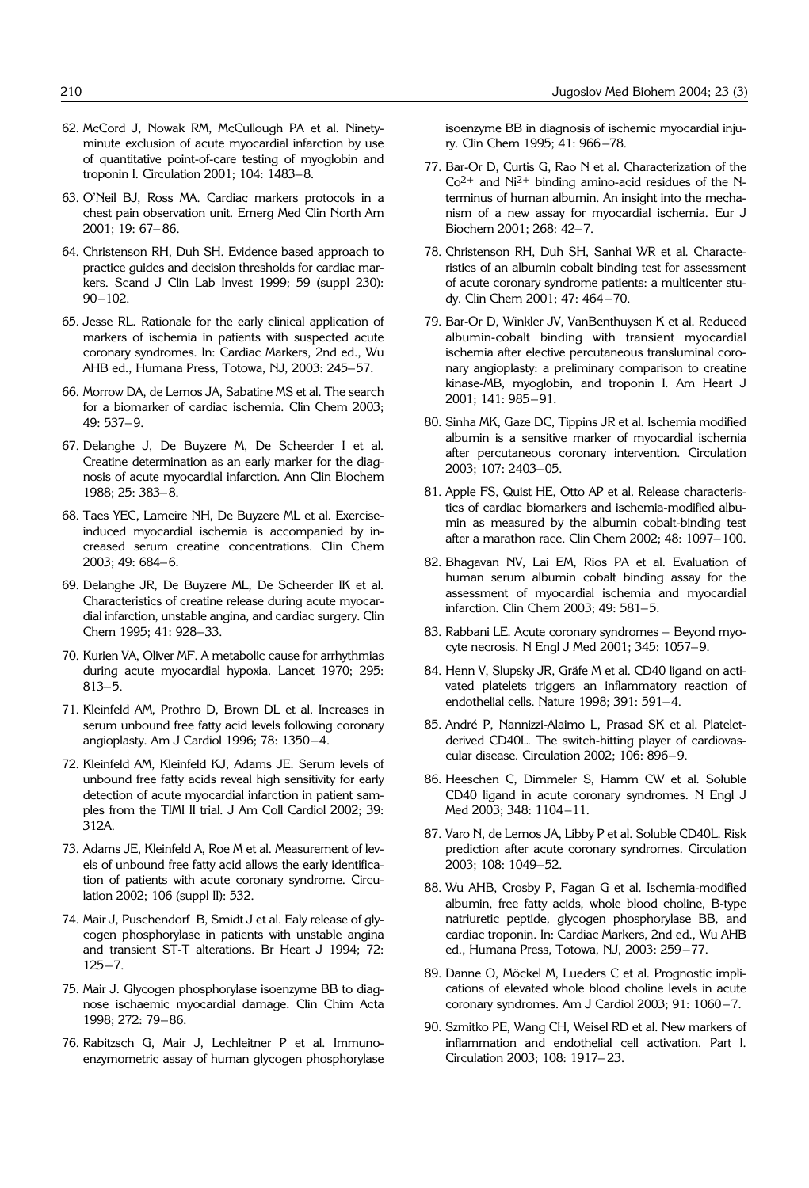- 62. McCord J, Nowak RM, McCullough PA et al. Ninetyminute exclusion of acute myocardial infarction by use of quantitative point-of-care testing of myoglobin and troponin I. Circulation 2001; 104: 1483–8.
- 63. O'Neil BJ, Ross MA. Cardiac markers protocols in a chest pain observation unit. Emerg Med Clin North Am 2001; 19: 67– 86.
- 64. Christenson RH, Duh SH. Evidence based approach to practice guides and decision thresholds for cardiac markers. Scand J Clin Lab Invest 1999; 59 (suppl 230): 90–102.
- 65. Jesse RL. Rationale for the early clinical application of markers of ischemia in patients with suspected acute coronary syndromes. In: Cardiac Markers, 2nd ed., Wu AHB ed., Humana Press, Totowa, NJ, 2003: 245–57.
- 66. Morrow DA, de Lemos JA, Sabatine MS et al. The search for a biomarker of cardiac ischemia. Clin Chem 2003; 49: 537–9.
- 67. Delanghe J, De Buyzere M, De Scheerder I et al. Creatine determination as an early marker for the diagnosis of acute myocardial infarction. Ann Clin Biochem 1988; 25: 383–8.
- 68. Taes YEC, Lameire NH, De Buyzere ML et al. Exerciseinduced myocardial ischemia is accompanied by increased serum creatine concentrations. Clin Chem 2003; 49: 684–6.
- 69. Delanghe JR, De Buyzere ML, De Scheerder IK et al. Characteristics of creatine release during acute myocardial infarction, unstable angina, and cardiac surgery. Clin Chem 1995; 41: 928–33.
- 70. Kurien VA, Oliver MF. A metabolic cause for arrhythmias during acute myocardial hypoxia. Lancet 1970; 295: 813–5.
- 71. Kleinfeld AM, Prothro D, Brown DL et al. Increases in serum unbound free fatty acid levels following coronary angioplasty. Am J Cardiol 1996; 78: 1350–4.
- 72. Kleinfeld AM, Kleinfeld KJ, Adams JE. Serum levels of unbound free fatty acids reveal high sensitivity for early detection of acute myocardial infarction in patient samples from the TIMI II trial. J Am Coll Cardiol 2002; 39: 312A.
- 73. Adams JE, Kleinfeld A, Roe M et al. Measurement of levels of unbound free fatty acid allows the early identification of patients with acute coronary syndrome. Circulation 2002; 106 (suppl II): 532.
- 74. Mair J, Puschendorf B, Smidt J et al. Ealy release of glycogen phosphorylase in patients with unstable angina and transient ST-T alterations. Br Heart J 1994; 72: 125–7.
- 75. Mair J. Glycogen phosphorylase isoenzyme BB to diagnose ischaemic myocardial damage. Clin Chim Acta 1998; 272: 79–86.
- 76. Rabitzsch G, Mair J, Lechleitner P et al. Immunoenzymometric assay of human glycogen phosphorylase

isoenzyme BB in diagnosis of ischemic myocardial injury. Clin Chem 1995; 41: 966 –78.

- 77. Bar-Or D, Curtis G, Rao N et al. Characterization of the  $Co<sup>2+</sup>$  and Ni<sup>2+</sup> binding amino-acid residues of the Nterminus of human albumin. An insight into the mechanism of a new assay for myocardial ischemia. Eur J Biochem 2001; 268: 42–7.
- 78. Christenson RH, Duh SH, Sanhai WR et al. Characteristics of an albumin cobalt binding test for assessment of acute coronary syndrome patients: a multicenter study. Clin Chem 2001; 47: 464–70.
- 79. Bar-Or D, Winkler JV, VanBenthuysen K et al. Reduced albumin-cobalt binding with transient myocardial ischemia after elective percutaneous transluminal coronary angioplasty: a preliminary comparison to creatine kinase-MB, myoglobin, and troponin I. Am Heart J 2001; 141: 985–91.
- 80. Sinha MK, Gaze DC, Tippins JR et al. Ischemia modified albumin is a sensitive marker of myocardial ischemia after percutaneous coronary intervention. Circulation 2003; 107: 2403–05.
- 81. Apple FS, Quist HE, Otto AP et al. Release characteristics of cardiac biomarkers and ischemia-modified albumin as measured by the albumin cobalt-binding test after a marathon race. Clin Chem 2002; 48: 1097–100.
- 82. Bhagavan NV, Lai EM, Rios PA et al. Evaluation of human serum albumin cobalt binding assay for the assessment of myocardial ischemia and myocardial infarction. Clin Chem 2003; 49: 581–5.
- 83. Rabbani LE. Acute coronary syndromes Beyond myocyte necrosis. N Engl J Med 2001; 345: 1057–9.
- 84. Henn V, Slupsky JR, Gräfe M et al. CD40 ligand on activated platelets triggers an inflammatory reaction of endothelial cells. Nature 1998; 391: 591–4.
- 85. André P, Nannizzi-Alaimo L, Prasad SK et al. Plateletderived CD40L. The switch-hitting player of cardiovascular disease. Circulation 2002; 106: 896–9.
- 86. Heeschen C, Dimmeler S, Hamm CW et al. Soluble CD40 ligand in acute coronary syndromes. N Engl J Med 2003; 348: 1104–11.
- 87. Varo N, de Lemos JA, Libby P et al. Soluble CD40L. Risk prediction after acute coronary syndromes. Circulation 2003; 108: 1049–52.
- 88. Wu AHB, Crosby P, Fagan G et al. Ischemia-modified albumin, free fatty acids, whole blood choline, B-type natriuretic peptide, glycogen phosphorylase BB, and cardiac troponin. In: Cardiac Markers, 2nd ed., Wu AHB ed., Humana Press, Totowa, NJ, 2003: 259–77.
- 89. Danne O, Möckel M, Lueders C et al. Prognostic implications of elevated whole blood choline levels in acute coronary syndromes. Am J Cardiol 2003; 91: 1060–7.
- 90. Szmitko PE, Wang CH, Weisel RD et al. New markers of inflammation and endothelial cell activation. Part I. Circulation 2003; 108: 1917– 23.